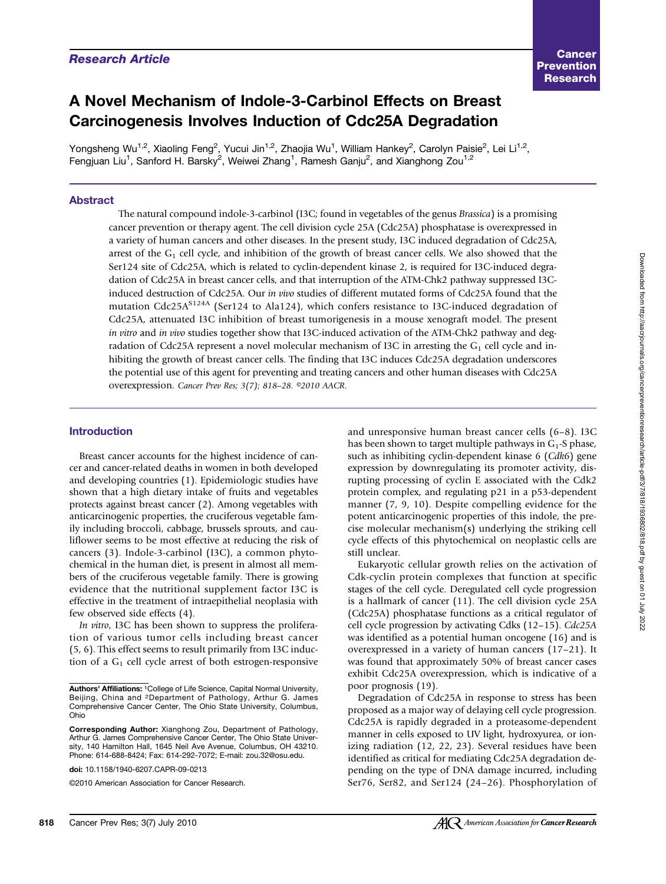# A Novel Mechanism of Indole-3-Carbinol Effects on Breast Carcinogenesis Involves Induction of Cdc25A Degradation

Yongsheng Wu<sup>1,2</sup>, Xiaoling Feng<sup>2</sup>, Yucui Jin<sup>1,2</sup>, Zhaojia Wu<sup>1</sup>, William Hankey<sup>2</sup>, Carolyn Paisie<sup>2</sup>, Lei Li<sup>1,2</sup>, Fengjuan Liu<sup>1</sup>, Sanford H. Barsky<sup>2</sup>, Weiwei Zhang<sup>1</sup>, Ramesh Ganju<sup>2</sup>, and Xianghong Zou<sup>1,2</sup>

# Abstract

The natural compound indole-3-carbinol (I3C; found in vegetables of the genus Brassica) is a promising cancer prevention or therapy agent. The cell division cycle 25A (Cdc25A) phosphatase is overexpressed in a variety of human cancers and other diseases. In the present study, I3C induced degradation of Cdc25A, arrest of the  $G_1$  cell cycle, and inhibition of the growth of breast cancer cells. We also showed that the Ser124 site of Cdc25A, which is related to cyclin-dependent kinase 2, is required for I3C-induced degradation of Cdc25A in breast cancer cells, and that interruption of the ATM-Chk2 pathway suppressed I3Cinduced destruction of Cdc25A. Our in vivo studies of different mutated forms of Cdc25A found that the mutation Cdc25A $S^{124A}$  (Ser124 to Ala124), which confers resistance to I3C-induced degradation of Cdc25A, attenuated I3C inhibition of breast tumorigenesis in a mouse xenograft model. The present in vitro and in vivo studies together show that I3C-induced activation of the ATM-Chk2 pathway and degradation of Cdc25A represent a novel molecular mechanism of I3C in arresting the  $G_1$  cell cycle and inhibiting the growth of breast cancer cells. The finding that I3C induces Cdc25A degradation underscores the potential use of this agent for preventing and treating cancers and other human diseases with Cdc25A overexpression. Cancer Prev Res; 3(7); 818–28. ©2010 AACR.

## Introduction

Breast cancer accounts for the highest incidence of cancer and cancer-related deaths in women in both developed and developing countries (1). Epidemiologic studies have shown that a high dietary intake of fruits and vegetables protects against breast cancer (2). Among vegetables with anticarcinogenic properties, the cruciferous vegetable family including broccoli, cabbage, brussels sprouts, and cauliflower seems to be most effective at reducing the risk of cancers (3). Indole-3-carbinol (I3C), a common phytochemical in the human diet, is present in almost all members of the cruciferous vegetable family. There is growing evidence that the nutritional supplement factor I3C is effective in the treatment of intraepithelial neoplasia with few observed side effects (4).

In vitro, I3C has been shown to suppress the proliferation of various tumor cells including breast cancer (5, 6). This effect seems to result primarily from I3C induction of a  $G_1$  cell cycle arrest of both estrogen-responsive

and unresponsive human breast cancer cells (6–8). I3C has been shown to target multiple pathways in  $G_1$ -S phase, such as inhibiting cyclin-dependent kinase 6 (Cdk6) gene expression by downregulating its promoter activity, disrupting processing of cyclin E associated with the Cdk2 protein complex, and regulating p21 in a p53-dependent manner (7, 9, 10). Despite compelling evidence for the potent anticarcinogenic properties of this indole, the precise molecular mechanism(s) underlying the striking cell cycle effects of this phytochemical on neoplastic cells are still unclear.

Eukaryotic cellular growth relies on the activation of Cdk-cyclin protein complexes that function at specific stages of the cell cycle. Deregulated cell cycle progression is a hallmark of cancer (11). The cell division cycle 25A (Cdc25A) phosphatase functions as a critical regulator of cell cycle progression by activating Cdks (12–15). Cdc25A was identified as a potential human oncogene (16) and is overexpressed in a variety of human cancers (17–21). It was found that approximately 50% of breast cancer cases exhibit Cdc25A overexpression, which is indicative of a poor prognosis (19).

Degradation of Cdc25A in response to stress has been proposed as a major way of delaying cell cycle progression. Cdc25A is rapidly degraded in a proteasome-dependent manner in cells exposed to UV light, hydroxyurea, or ionizing radiation (12, 22, 23). Several residues have been identified as critical for mediating Cdc25A degradation depending on the type of DNA damage incurred, including Ser76, Ser82, and Ser124 (24–26). Phosphorylation of

Authors' Affiliations: 1College of Life Science, Capital Normal University, Beijing, China and 2Department of Pathology, Arthur G. James Comprehensive Cancer Center, The Ohio State University, Columbus, Ohio

Corresponding Author: Xianghong Zou, Department of Pathology, Arthur G. James Comprehensive Cancer Center, The Ohio State University, 140 Hamilton Hall, 1645 Neil Ave Avenue, Columbus, OH 43210. Phone: 614-688-8424; Fax: 614-292-7072; E-mail: zou.32@osu.edu.

doi: 10.1158/1940-6207.CAPR-09-0213

<sup>©2010</sup> American Association for Cancer Research.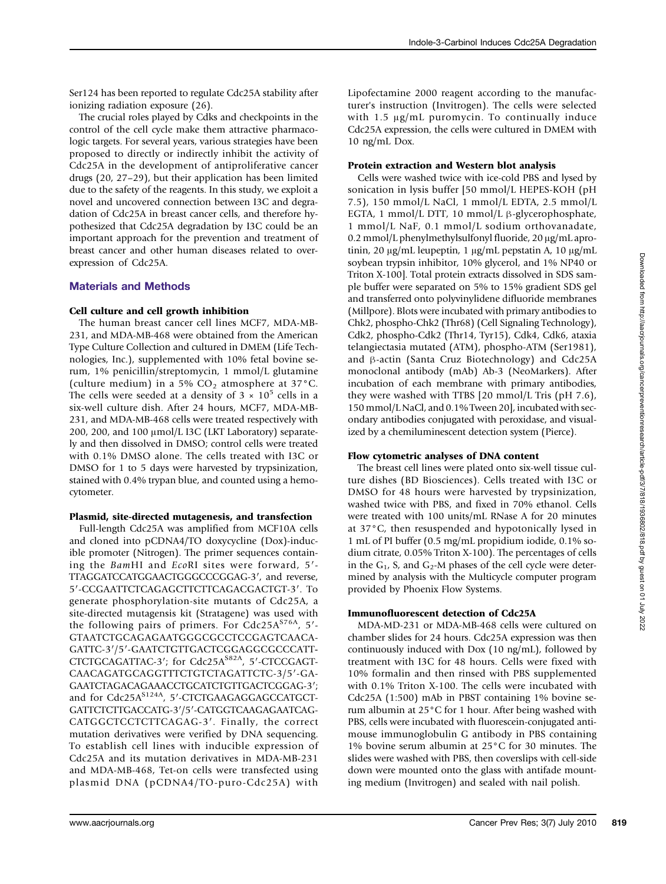Ser124 has been reported to regulate Cdc25A stability after ionizing radiation exposure (26).

The crucial roles played by Cdks and checkpoints in the control of the cell cycle make them attractive pharmacologic targets. For several years, various strategies have been proposed to directly or indirectly inhibit the activity of Cdc25A in the development of antiproliferative cancer drugs (20, 27–29), but their application has been limited due to the safety of the reagents. In this study, we exploit a novel and uncovered connection between I3C and degradation of Cdc25A in breast cancer cells, and therefore hypothesized that Cdc25A degradation by I3C could be an important approach for the prevention and treatment of breast cancer and other human diseases related to overexpression of Cdc25A.

# Materials and Methods

## Cell culture and cell growth inhibition

The human breast cancer cell lines MCF7, MDA-MB-231, and MDA-MB-468 were obtained from the American Type Culture Collection and cultured in DMEM (Life Technologies, Inc.), supplemented with 10% fetal bovine serum, 1% penicillin/streptomycin, 1 mmol/L glutamine (culture medium) in a 5%  $CO<sub>2</sub>$  atmosphere at 37°C. The cells were seeded at a density of  $3 \times 10^5$  cells in a six-well culture dish. After 24 hours, MCF7, MDA-MB-231, and MDA-MB-468 cells were treated respectively with 200, 200, and 100 μmol/L I3C (LKT Laboratory) separately and then dissolved in DMSO; control cells were treated with 0.1% DMSO alone. The cells treated with I3C or DMSO for 1 to 5 days were harvested by trypsinization, stained with 0.4% trypan blue, and counted using a hemocytometer.

## Plasmid, site-directed mutagenesis, and transfection

Full-length Cdc25A was amplified from MCF10A cells and cloned into pCDNA4/TO doxycycline (Dox)-inducible promoter (Nitrogen). The primer sequences containing the BamHI and EcoRI sites were forward, 5′- TTAGGATCCATGGAACTGGGCCCGGAG-3′, and reverse, 5′-CCGAATTCTCAGAGCTTCTTCAGACGACTGT-3′. To generate phosphorylation-site mutants of Cdc25A, a site-directed mutagensis kit (Stratagene) was used with the following pairs of primers. For Cdc25 $A^{S76A}$ , 5'-GTAATCTGCAGAGAATGGGCGCCTCCGAGTCAACA-GATTC-3′/5′-GAATCTGTTGACTCGGAGGCGCCCATT‐ CTCTGCAGATTAC-3'; for Cdc25A<sup>S82A</sup>, 5'-CTCCGAGT-CAACAGATGCAGGTTTCTGTCTAGATTCTC-3/5′-GA-GAATCTAGACAGAAACCTGCATCTGTTGACTCGGAG-3′; and for Cdc25A<sup>S124A</sup>, 5'-CTCTGAAGAGGAGCCATGCT-GATTCTCTTGACCATG-3′/5′-CATGGTCAAGAGAATCAG-CATGGCTCCTCTTCAGAG-3′. Finally, the correct mutation derivatives were verified by DNA sequencing. To establish cell lines with inducible expression of Cdc25A and its mutation derivatives in MDA-MB-231 and MDA-MB-468, Tet-on cells were transfected using plasmid DNA (pCDNA4/TO-puro-Cdc25A) with

Lipofectamine 2000 reagent according to the manufacturer's instruction (Invitrogen). The cells were selected with 1.5 μg/mL puromycin. To continually induce Cdc25A expression, the cells were cultured in DMEM with 10 ng/mL Dox.

#### Protein extraction and Western blot analysis

Cells were washed twice with ice-cold PBS and lysed by sonication in lysis buffer [50 mmol/L HEPES-KOH (pH 7.5), 150 mmol/L NaCl, 1 mmol/L EDTA, 2.5 mmol/L EGTA, 1 mmol/L DTT, 10 mmol/L β-glycerophosphate, 1 mmol/L NaF, 0.1 mmol/L sodium orthovanadate, 0.2 mmol/L phenylmethylsulfonyl fluoride, 20 μg/mL aprotinin, 20 μg/mL leupeptin, 1 μg/mL pepstatin A, 10 μg/mL soybean trypsin inhibitor, 10% glycerol, and 1% NP40 or Triton X-100]. Total protein extracts dissolved in SDS sample buffer were separated on 5% to 15% gradient SDS gel and transferred onto polyvinylidene difluoride membranes (Millpore). Blots were incubated with primary antibodies to Chk2, phospho-Chk2 (Thr68) (Cell Signaling Technology), Cdk2, phospho-Cdk2 (Thr14, Tyr15), Cdk4, Cdk6, ataxia telangiectasia mutated (ATM), phospho-ATM (Ser1981), and β-actin (Santa Cruz Biotechnology) and Cdc25A monoclonal antibody (mAb) Ab-3 (NeoMarkers). After incubation of each membrane with primary antibodies, they were washed with TTBS [20 mmol/L Tris (pH 7.6), 150 mmol/L NaCl, and 0.1% Tween 20], incubated with secondary antibodies conjugated with peroxidase, and visualized by a chemiluminescent detection system (Pierce).

## Flow cytometric analyses of DNA content

The breast cell lines were plated onto six-well tissue culture dishes (BD Biosciences). Cells treated with I3C or DMSO for 48 hours were harvested by trypsinization, washed twice with PBS, and fixed in 70% ethanol. Cells were treated with 100 units/mL RNase A for 20 minutes at 37°C, then resuspended and hypotonically lysed in 1 mL of PI buffer (0.5 mg/mL propidium iodide, 0.1% sodium citrate, 0.05% Triton X-100). The percentages of cells in the  $G_1$ , S, and  $G_2$ -M phases of the cell cycle were determined by analysis with the Multicycle computer program provided by Phoenix Flow Systems.

#### Immunofluorescent detection of Cdc25A

MDA-MD-231 or MDA-MB-468 cells were cultured on chamber slides for 24 hours. Cdc25A expression was then continuously induced with Dox (10 ng/mL), followed by treatment with I3C for 48 hours. Cells were fixed with 10% formalin and then rinsed with PBS supplemented with 0.1% Triton X-100. The cells were incubated with Cdc25A (1:500) mAb in PBST containing 1% bovine serum albumin at 25°C for 1 hour. After being washed with PBS, cells were incubated with fluorescein-conjugated antimouse immunoglobulin G antibody in PBS containing 1% bovine serum albumin at 25°C for 30 minutes. The slides were washed with PBS, then coverslips with cell-side down were mounted onto the glass with antifade mounting medium (Invitrogen) and sealed with nail polish.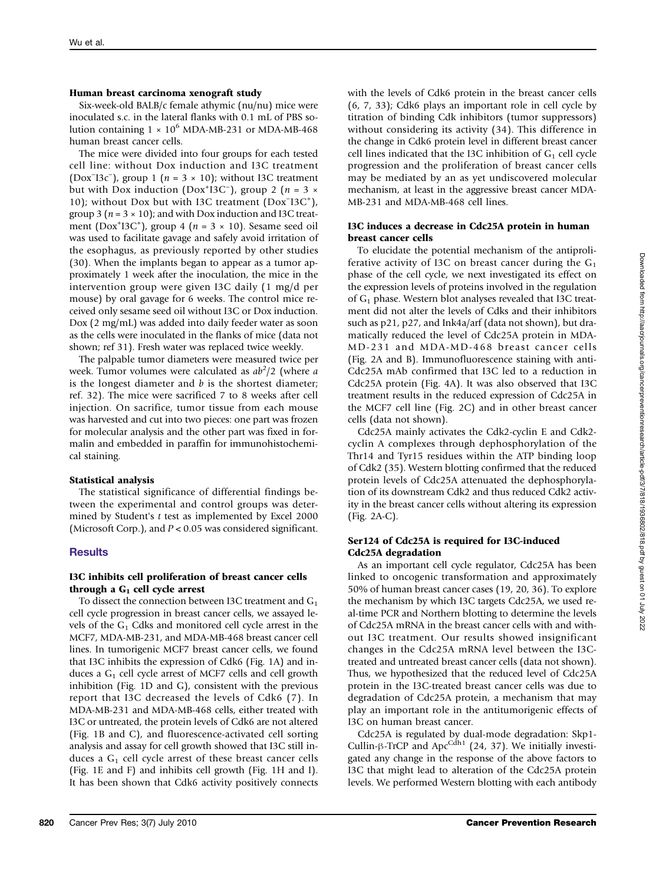## Human breast carcinoma xenograft study

Six-week-old BALB/c female athymic (nu/nu) mice were inoculated s.c. in the lateral flanks with 0.1 mL of PBS solution containing  $1 \times 10^6$  MDA-MB-231 or MDA-MB-468 human breast cancer cells.

The mice were divided into four groups for each tested cell line: without Dox induction and I3C treatment (Dox<sup>−</sup> I3c<sup>−</sup> ), group 1 (n = 3 × 10); without I3C treatment but with Dox induction (Dox<sup>+</sup>13C<sup>-</sup>), group 2 (*n* = 3 × 10); without Dox but with I3C treatment (Dox<sup>-</sup>I3C<sup>+</sup>), group 3 ( $n = 3 \times 10$ ); and with Dox induction and I3C treatment (Dox<sup>+</sup>I3C<sup>+</sup>), group 4 ( $n = 3 \times 10$ ). Sesame seed oil was used to facilitate gavage and safely avoid irritation of the esophagus, as previously reported by other studies (30). When the implants began to appear as a tumor approximately 1 week after the inoculation, the mice in the intervention group were given I3C daily (1 mg/d per mouse) by oral gavage for 6 weeks. The control mice received only sesame seed oil without I3C or Dox induction. Dox (2 mg/mL) was added into daily feeder water as soon as the cells were inoculated in the flanks of mice (data not shown; ref 31). Fresh water was replaced twice weekly.

The palpable tumor diameters were measured twice per week. Tumor volumes were calculated as  $ab^2/2$  (where a is the longest diameter and  $b$  is the shortest diameter; ref. 32). The mice were sacrificed 7 to 8 weeks after cell injection. On sacrifice, tumor tissue from each mouse was harvested and cut into two pieces: one part was frozen for molecular analysis and the other part was fixed in formalin and embedded in paraffin for immunohistochemical staining.

# Statistical analysis

The statistical significance of differential findings between the experimental and control groups was determined by Student's t test as implemented by Excel 2000 (Microsoft Corp.), and  $P < 0.05$  was considered significant.

# **Results**

## I3C inhibits cell proliferation of breast cancer cells through a  $G_1$  cell cycle arrest

To dissect the connection between I3C treatment and  $G_1$ cell cycle progression in breast cancer cells, we assayed levels of the  $G_1$  Cdks and monitored cell cycle arrest in the MCF7, MDA-MB-231, and MDA-MB-468 breast cancer cell lines. In tumorigenic MCF7 breast cancer cells, we found that I3C inhibits the expression of Cdk6 (Fig. 1A) and induces a  $G_1$  cell cycle arrest of MCF7 cells and cell growth inhibition (Fig. 1D and G), consistent with the previous report that I3C decreased the levels of Cdk6 (7). In MDA-MB-231 and MDA-MB-468 cells, either treated with I3C or untreated, the protein levels of Cdk6 are not altered (Fig. 1B and C), and fluorescence-activated cell sorting analysis and assay for cell growth showed that I3C still induces a  $G_1$  cell cycle arrest of these breast cancer cells (Fig. 1E and F) and inhibits cell growth (Fig. 1H and I). It has been shown that Cdk6 activity positively connects

with the levels of Cdk6 protein in the breast cancer cells (6, 7, 33); Cdk6 plays an important role in cell cycle by titration of binding Cdk inhibitors (tumor suppressors) without considering its activity (34). This difference in the change in Cdk6 protein level in different breast cancer cell lines indicated that the I3C inhibition of  $G_1$  cell cycle progression and the proliferation of breast cancer cells may be mediated by an as yet undiscovered molecular mechanism, at least in the aggressive breast cancer MDA-MB-231 and MDA-MB-468 cell lines.

## I3C induces a decrease in Cdc25A protein in human breast cancer cells

To elucidate the potential mechanism of the antiproliferative activity of I3C on breast cancer during the  $G_1$ phase of the cell cycle, we next investigated its effect on the expression levels of proteins involved in the regulation of  $G_1$  phase. Western blot analyses revealed that I3C treatment did not alter the levels of Cdks and their inhibitors such as p21, p27, and Ink4a/arf (data not shown), but dramatically reduced the level of Cdc25A protein in MDA-MD-231 and MDA-MD-468 breast cancer cells (Fig. 2A and B). Immunofluorescence staining with anti-Cdc25A mAb confirmed that I3C led to a reduction in Cdc25A protein (Fig. 4A). It was also observed that I3C treatment results in the reduced expression of Cdc25A in the MCF7 cell line (Fig. 2C) and in other breast cancer cells (data not shown).

Cdc25A mainly activates the Cdk2-cyclin E and Cdk2 cyclin A complexes through dephosphorylation of the Thr14 and Tyr15 residues within the ATP binding loop of Cdk2 (35). Western blotting confirmed that the reduced protein levels of Cdc25A attenuated the dephosphorylation of its downstream Cdk2 and thus reduced Cdk2 activity in the breast cancer cells without altering its expression (Fig. 2A-C).

## Ser124 of Cdc25A is required for I3C-induced Cdc25A degradation

As an important cell cycle regulator, Cdc25A has been linked to oncogenic transformation and approximately 50% of human breast cancer cases (19, 20, 36). To explore the mechanism by which I3C targets Cdc25A, we used real-time PCR and Northern blotting to determine the levels of Cdc25A mRNA in the breast cancer cells with and without I3C treatment. Our results showed insignificant changes in the Cdc25A mRNA level between the I3Ctreated and untreated breast cancer cells (data not shown). Thus, we hypothesized that the reduced level of Cdc25A protein in the I3C-treated breast cancer cells was due to degradation of Cdc25A protein, a mechanism that may play an important role in the antitumorigenic effects of I3C on human breast cancer.

Cdc25A is regulated by dual-mode degradation: Skp1- Cullin-β-TrCP and Apc<sup>Cdh1</sup> (24, 37). We initially investigated any change in the response of the above factors to I3C that might lead to alteration of the Cdc25A protein levels. We performed Western blotting with each antibody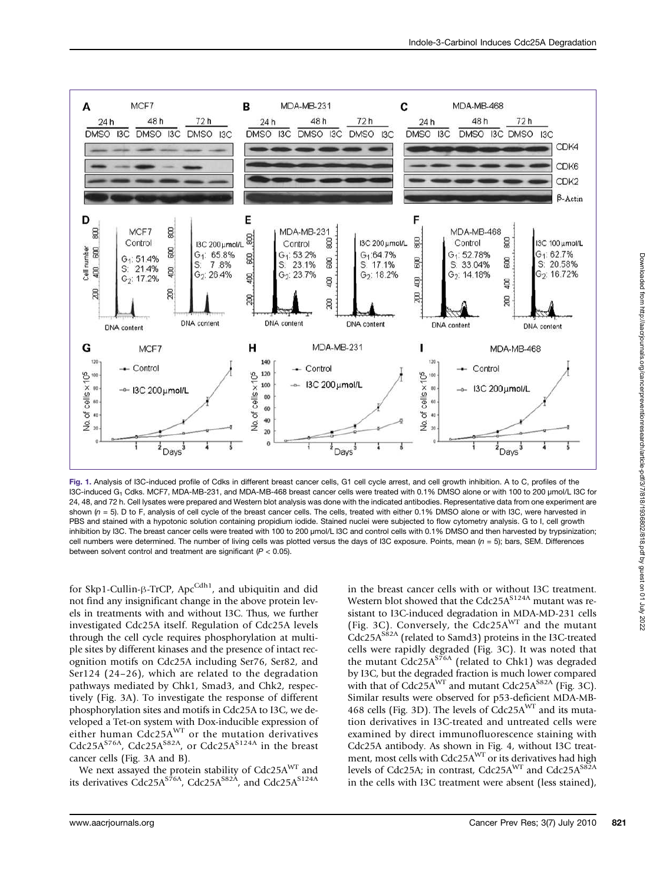

Fig. 1. Analysis of I3C-induced profile of Cdks in different breast cancer cells, G1 cell cycle arrest, and cell growth inhibition. A to C, profiles of the I3C-induced G1 Cdks. MCF7, MDA-MB-231, and MDA-MB-468 breast cancer cells were treated with 0.1% DMSO alone or with 100 to 200 μmol/L I3C for 24, 48, and 72 h. Cell lysates were prepared and Western blot analysis was done with the indicated antibodies. Representative data from one experiment are shown ( $n = 5$ ). D to F, analysis of cell cycle of the breast cancer cells. The cells, treated with either 0.1% DMSO alone or with I3C, were harvested in PBS and stained with a hypotonic solution containing propidium iodide. Stained nuclei were subjected to flow cytometry analysis. G to I, cell growth inhibition by I3C. The breast cancer cells were treated with 100 to 200 μmol/L I3C and control cells with 0.1% DMSO and then harvested by trypsinization; cell numbers were determined. The number of living cells was plotted versus the days of I3C exposure. Points, mean ( $n = 5$ ); bars, SEM. Differences between solvent control and treatment are significant ( $P < 0.05$ ).

for Skp1-Cullin-β-TrCP, ApcCdh1, and ubiquitin and did not find any insignificant change in the above protein levels in treatments with and without I3C. Thus, we further investigated Cdc25A itself. Regulation of Cdc25A levels through the cell cycle requires phosphorylation at multiple sites by different kinases and the presence of intact recognition motifs on Cdc25A including Ser76, Ser82, and Ser124 (24–26), which are related to the degradation pathways mediated by Chk1, Smad3, and Chk2, respectively (Fig. 3A). To investigate the response of different phosphorylation sites and motifs in Cdc25A to I3C, we developed a Tet-on system with Dox-inducible expression of either human Cdc25AWT or the mutation derivatives Cdc25A<sup>S76A</sup>, Cdc25A<sup>S82A</sup>, or Cdc25A<sup>S124A</sup> in the breast cancer cells (Fig. 3A and B).

We next assayed the protein stability of Cdc25A<sup>WT</sup> and its derivatives  $\rm{Cdc25A}^{S\bar{7}6A}$ ,  $\rm{Cdc25A}^{S2\bar{4}A}$ , and  $\rm{Cdc25A}^{S12\bar{4}A}$ 

in the breast cancer cells with or without I3C treatment. Western blot showed that the  $Cdc25A<sup>S124A</sup>$  mutant was resistant to I3C-induced degradation in MDA-MD-231 cells (Fig. 3C). Conversely, the Cdc25 $A<sup>WT</sup>$  and the mutant  $Cdc25A<sup>S82A</sup>$  (related to Samd3) proteins in the I3C-treated cells were rapidly degraded (Fig. 3C). It was noted that the mutant  $Cdc25A<sup>576A</sup>$  (related to Chk1) was degraded by I3C, but the degraded fraction is much lower compared with that of  $Cdc25A<sup>WT</sup>$  and mutant  $Cdc25A<sup>S82A</sup>$  (Fig. 3C). Similar results were observed for p53-deficient MDA-MB-468 cells (Fig. 3D). The levels of  $\text{Cdc25A}^{\text{WT}}$  and its mutation derivatives in I3C-treated and untreated cells were examined by direct immunofluorescence staining with Cdc25A antibody. As shown in Fig. 4, without I3C treatment, most cells with Cdc25A<sup>WT</sup> or its derivatives had high levels of Cdc25A; in contrast, Cdc25AWT and Cdc25A<sup>S82A</sup> in the cells with I3C treatment were absent (less stained),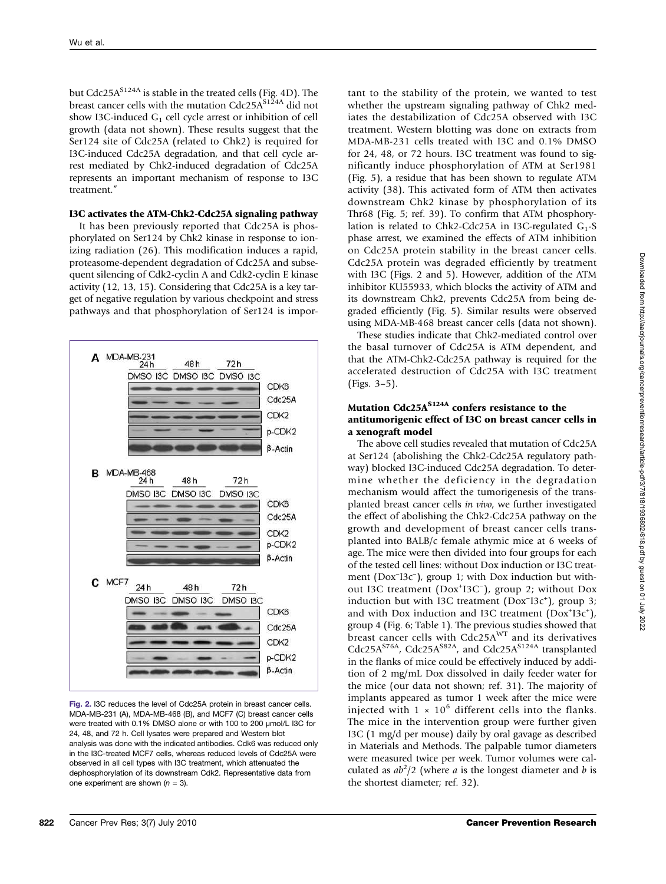but Cdc25A<sup>S124A</sup> is stable in the treated cells (Fig. 4D). The breast cancer cells with the mutation Cdc25A<sup>S124A</sup> did not show I3C-induced  $G_1$  cell cycle arrest or inhibition of cell growth (data not shown). These results suggest that the Ser124 site of Cdc25A (related to Chk2) is required for I3C-induced Cdc25A degradation, and that cell cycle arrest mediated by Chk2-induced degradation of Cdc25A represents an important mechanism of response to I3C treatment."

#### I3C activates the ATM-Chk2-Cdc25A signaling pathway

It has been previously reported that Cdc25A is phosphorylated on Ser124 by Chk2 kinase in response to ionizing radiation (26). This modification induces a rapid, proteasome-dependent degradation of Cdc25A and subsequent silencing of Cdk2-cyclin A and Cdk2-cyclin E kinase activity (12, 13, 15). Considering that Cdc25A is a key target of negative regulation by various checkpoint and stress pathways and that phosphorylation of Ser124 is impor-



Fig. 2. I3C reduces the level of Cdc25A protein in breast cancer cells. MDA-MB-231 (A), MDA-MB-468 (B), and MCF7 (C) breast cancer cells were treated with 0.1% DMSO alone or with 100 to 200 μmol/L I3C for 24, 48, and 72 h. Cell lysates were prepared and Western blot analysis was done with the indicated antibodies. Cdk6 was reduced only in the I3C-treated MCF7 cells, whereas reduced levels of Cdc25A were observed in all cell types with I3C treatment, which attenuated the dephosphorylation of its downstream Cdk2. Representative data from one experiment are shown  $(n = 3)$ .

tant to the stability of the protein, we wanted to test whether the upstream signaling pathway of Chk2 mediates the destabilization of Cdc25A observed with I3C treatment. Western blotting was done on extracts from MDA-MB-231 cells treated with I3C and 0.1% DMSO for 24, 48, or 72 hours. I3C treatment was found to significantly induce phosphorylation of ATM at Ser1981 (Fig. 5), a residue that has been shown to regulate ATM activity (38). This activated form of ATM then activates downstream Chk2 kinase by phosphorylation of its Thr68 (Fig. 5; ref. 39). To confirm that ATM phosphorylation is related to Chk2-Cdc25A in I3C-regulated  $G_1-S$ phase arrest, we examined the effects of ATM inhibition on Cdc25A protein stability in the breast cancer cells. Cdc25A protein was degraded efficiently by treatment with I3C (Figs. 2 and 5). However, addition of the ATM inhibitor KU55933, which blocks the activity of ATM and its downstream Chk2, prevents Cdc25A from being degraded efficiently (Fig. 5). Similar results were observed using MDA-MB-468 breast cancer cells (data not shown).

These studies indicate that Chk2-mediated control over the basal turnover of Cdc25A is ATM dependent, and that the ATM-Chk2-Cdc25A pathway is required for the accelerated destruction of Cdc25A with I3C treatment (Figs. 3–5).

## Mutation  $Cdc25A<sup>S124A</sup>$  confers resistance to the antitumorigenic effect of I3C on breast cancer cells in a xenograft model

The above cell studies revealed that mutation of Cdc25A at Ser124 (abolishing the Chk2-Cdc25A regulatory pathway) blocked I3C-induced Cdc25A degradation. To determine whether the deficiency in the degradation mechanism would affect the tumorigenesis of the transplanted breast cancer cells in vivo, we further investigated the effect of abolishing the Chk2-Cdc25A pathway on the growth and development of breast cancer cells transplanted into BALB/c female athymic mice at 6 weeks of age. The mice were then divided into four groups for each of the tested cell lines: without Dox induction or I3C treatment (Dox<sup>-</sup>I3c<sup>-</sup>), group 1; with Dox induction but without I3C treatment (Dox<sup>+</sup>I3C<sup>-</sup>), group 2; without Dox induction but with I3C treatment (Dox<sup>-</sup>I3c<sup>+</sup>), group 3; and with Dox induction and I3C treatment  $(Dox<sup>+</sup>13c<sup>+</sup>)$ , group 4 (Fig. 6; Table 1). The previous studies showed that breast cancer cells with Cdc25A<sup>WT</sup> and its derivatives Cdc25A<sup>S76A</sup>, Cdc25A<sup>S82A</sup>, and Cdc25A<sup>S124A</sup> transplanted in the flanks of mice could be effectively induced by addition of 2 mg/mL Dox dissolved in daily feeder water for the mice (our data not shown; ref. 31). The majority of implants appeared as tumor 1 week after the mice were injected with  $1 \times 10^6$  different cells into the flanks. The mice in the intervention group were further given I3C (1 mg/d per mouse) daily by oral gavage as described in Materials and Methods. The palpable tumor diameters were measured twice per week. Tumor volumes were calculated as  $ab^2/2$  (where *a* is the longest diameter and *b* is the shortest diameter; ref. 32).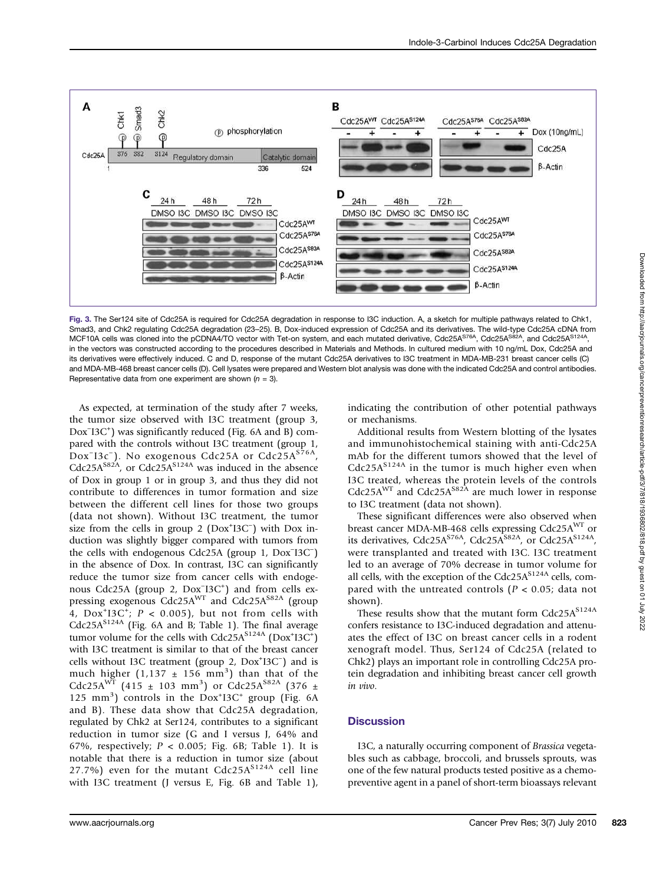

Fig. 3. The Ser124 site of Cdc25A is required for Cdc25A degradation in response to I3C induction. A, a sketch for multiple pathways related to Chk1, Smad3, and Chk2 regulating Cdc25A degradation (23–25). B, Dox-induced expression of Cdc25A and its derivatives. The wild-type Cdc25A cDNA from MCF10A cells was cloned into the pCDNA4/TO vector with Tet-on system, and each mutated derivative, Cdc25A<sup>S76A</sup>, Cdc25A<sup>S82A</sup>, and Cdc25A<sup>S124A</sup> in the vectors was constructed according to the procedures described in Materials and Methods. In cultured medium with 10 ng/mL Dox, Cdc25A and its derivatives were effectively induced. C and D, response of the mutant Cdc25A derivatives to I3C treatment in MDA-MB-231 breast cancer cells (C) and MDA-MB-468 breast cancer cells (D). Cell lysates were prepared and Western blot analysis was done with the indicated Cdc25A and control antibodies. Representative data from one experiment are shown  $(n = 3)$ .

As expected, at termination of the study after 7 weeks, the tumor size observed with I3C treatment (group 3, Dox<sup>−</sup> I3C+ ) was significantly reduced (Fig. 6A and B) compared with the controls without I3C treatment (group 1, .<br>Dox<sup>−</sup>I3c<sup>−</sup>). No exogenous Cdc25A or Cdc25A<sup>S76A</sup>, Cdc25A $^{882A}$ , or Cdc25A $^{8124A}$  was induced in the absence of Dox in group 1 or in group 3, and thus they did not contribute to differences in tumor formation and size between the different cell lines for those two groups (data not shown). Without I3C treatment, the tumor size from the cells in group 2 ( $Dox$ <sup>+</sup>I3C<sup>-</sup>) with Dox induction was slightly bigger compared with tumors from the cells with endogenous Cdc25A (group 1, Dox<sup>−</sup> I3C<sup>−</sup> ) in the absence of Dox. In contrast, I3C can significantly reduce the tumor size from cancer cells with endogenous Cdc25A (group 2, Dox<sup>-</sup>I3C<sup>+</sup>) and from cells expressing exogenous  $Cdc25A<sup>WT</sup>$  and  $Cdc25A<sup>S82A</sup>$  (group 4,  $\text{Dox}^+13\text{C}^+$ ;  $P < 0.005$ ), but not from cells with  $Cdc25A<sup>S124A</sup>$  (Fig. 6A and B; Table 1). The final average tumor volume for the cells with  $Cdc25A<sup>S124A</sup>$  (Dox<sup>+</sup>I3C<sup>+</sup>) with I3C treatment is similar to that of the breast cancer cells without I3C treatment (group 2, Dox<sup>+</sup>I3C<sup>-</sup>) and is much higher  $(1,137 \pm 156 \text{ mm}^3)$  than that of the Cdc25A<sup>WT</sup> (415 ± 103 mm<sup>3</sup>) or Cdc25A<sup>S82A</sup> (376 ± 125 mm<sup>3</sup>) controls in the Dox<sup>+</sup>I3C<sup>+</sup> group (Fig. 6A and B). These data show that Cdc25A degradation, regulated by Chk2 at Ser124, contributes to a significant reduction in tumor size (G and I versus J, 64% and 67%, respectively;  $P < 0.005$ ; Fig. 6B; Table 1). It is notable that there is a reduction in tumor size (about 27.7%) even for the mutant Cdc25A<sup>S124A</sup> cell line with I3C treatment (J versus E, Fig. 6B and Table 1), indicating the contribution of other potential pathways or mechanisms.

Additional results from Western blotting of the lysates and immunohistochemical staining with anti-Cdc25A mAb for the different tumors showed that the level of  $Cdc25A<sup>S124A</sup>$  in the tumor is much higher even when I3C treated, whereas the protein levels of the controls  $Cdc25A<sup>WT</sup>$  and  $Cdc25A<sup>S82A</sup>$  are much lower in response to I3C treatment (data not shown).

These significant differences were also observed when breast cancer MDA-MB-468 cells expressing Cdc25AWT or its derivatives, Cdc25A<sup>S76A</sup>, Cdc25A<sup>S82A</sup>, or Cdc25A<sup>S124A</sup>, were transplanted and treated with I3C. I3C treatment led to an average of 70% decrease in tumor volume for all cells, with the exception of the Cdc25 $A^{S124A}$  cells, compared with the untreated controls ( $P < 0.05$ ; data not shown).

These results show that the mutant form  $Cdc25A^{S124A}$ confers resistance to I3C-induced degradation and attenuates the effect of I3C on breast cancer cells in a rodent xenograft model. Thus, Ser124 of Cdc25A (related to Chk2) plays an important role in controlling Cdc25A protein degradation and inhibiting breast cancer cell growth in vivo.

## **Discussion**

I3C, a naturally occurring component of Brassica vegetables such as cabbage, broccoli, and brussels sprouts, was one of the few natural products tested positive as a chemopreventive agent in a panel of short-term bioassays relevant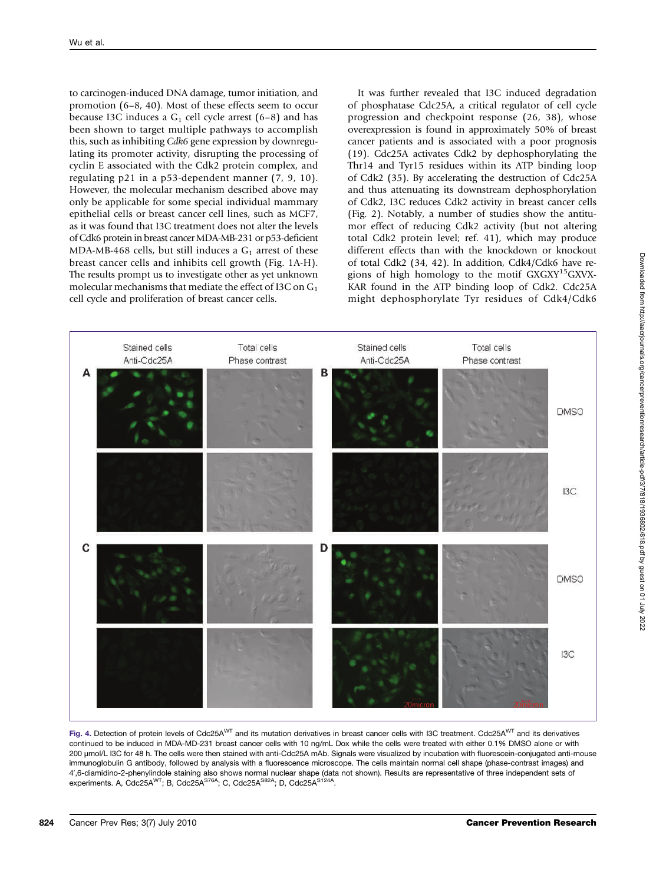to carcinogen-induced DNA damage, tumor initiation, and promotion (6–8, 40). Most of these effects seem to occur because I3C induces a  $G_1$  cell cycle arrest (6–8) and has been shown to target multiple pathways to accomplish this, such as inhibiting Cdk6 gene expression by downregulating its promoter activity, disrupting the processing of cyclin E associated with the Cdk2 protein complex, and regulating p21 in a p53-dependent manner (7, 9, 10). However, the molecular mechanism described above may only be applicable for some special individual mammary epithelial cells or breast cancer cell lines, such as MCF7, as it was found that I3C treatment does not alter the levels of Cdk6 protein in breast cancer MDA-MB-231 or p53-deficient MDA-MB-468 cells, but still induces a  $G_1$  arrest of these breast cancer cells and inhibits cell growth (Fig. 1A-H). The results prompt us to investigate other as yet unknown molecular mechanisms that mediate the effect of I3C on  $G_1$ cell cycle and proliferation of breast cancer cells.

It was further revealed that I3C induced degradation of phosphatase Cdc25A, a critical regulator of cell cycle progression and checkpoint response (26, 38), whose overexpression is found in approximately 50% of breast cancer patients and is associated with a poor prognosis (19). Cdc25A activates Cdk2 by dephosphorylating the Thr14 and Tyr15 residues within its ATP binding loop of Cdk2 (35). By accelerating the destruction of Cdc25A and thus attenuating its downstream dephosphorylation of Cdk2, I3C reduces Cdk2 activity in breast cancer cells (Fig. 2). Notably, a number of studies show the antitumor effect of reducing Cdk2 activity (but not altering total Cdk2 protein level; ref. 41), which may produce different effects than with the knockdown or knockout of total Cdk2 (34, 42). In addition, Cdk4/Cdk6 have regions of high homology to the motif  $GXXY^{15}GXYX-$ KAR found in the ATP binding loop of Cdk2. Cdc25A might dephosphorylate Tyr residues of Cdk4/Cdk6



Fig. 4. Detection of protein levels of Cdc25A<sup>WT</sup> and its mutation derivatives in breast cancer cells with I3C treatment. Cdc25A<sup>WT</sup> and its derivatives continued to be induced in MDA-MD-231 breast cancer cells with 10 ng/mL Dox while the cells were treated with either 0.1% DMSO alone or with 200 μmol/L I3C for 48 h. The cells were then stained with anti-Cdc25A mAb. Signals were visualized by incubation with fluorescein-conjugated anti-mouse immunoglobulin G antibody, followed by analysis with a fluorescence microscope. The cells maintain normal cell shape (phase-contrast images) and 4′,6-diamidino-2-phenylindole staining also shows normal nuclear shape (data not shown). Results are representative of three independent sets of<br>experiments. A, Cdc25A<sup>wT</sup>; B, Cdc25A<sup>S76A</sup>; C, Cdc25A<sup>S82A</sup>; D, Cdc25A<sup>S124A</sup>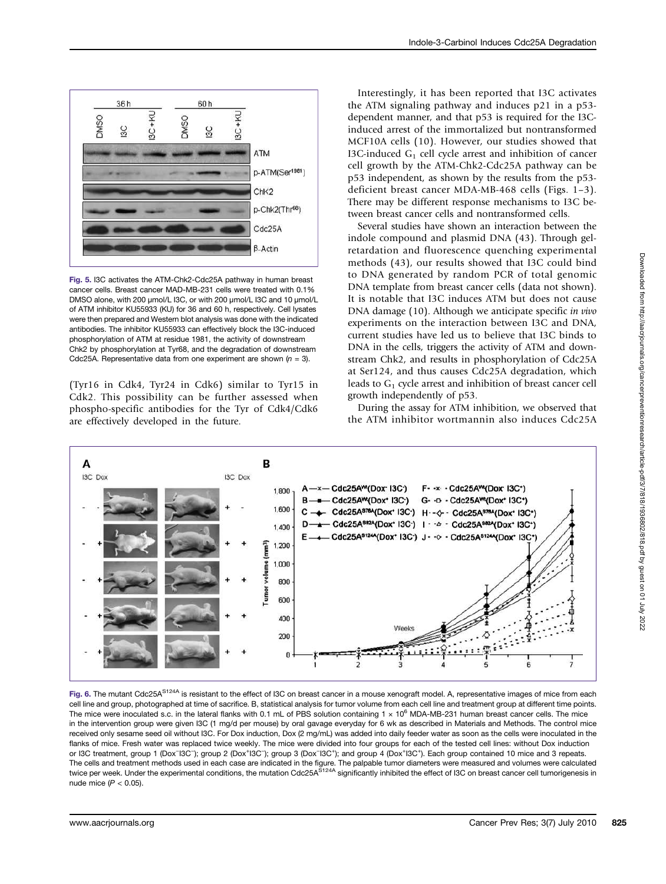

Fig. 5. I3C activates the ATM-Chk2-Cdc25A pathway in human breast cancer cells. Breast cancer MAD-MB-231 cells were treated with 0.1% DMSO alone, with 200 μmol/L I3C, or with 200 μmol/L I3C and 10 μmol/L of ATM inhibitor KU55933 (KU) for 36 and 60 h, respectively. Cell lysates were then prepared and Western blot analysis was done with the indicated antibodies. The inhibitor KU55933 can effectively block the I3C-induced phosphorylation of ATM at residue 1981, the activity of downstream Chk2 by phosphorylation at Tyr68, and the degradation of downstream Cdc25A. Representative data from one experiment are shown  $(n = 3)$ .

(Tyr16 in Cdk4, Tyr24 in Cdk6) similar to Tyr15 in Cdk2. This possibility can be further assessed when phospho-specific antibodies for the Tyr of Cdk4/Cdk6 are effectively developed in the future.

Interestingly, it has been reported that I3C activates the ATM signaling pathway and induces p21 in a p53 dependent manner, and that p53 is required for the I3Cinduced arrest of the immortalized but nontransformed MCF10A cells (10). However, our studies showed that I3C-induced  $G_1$  cell cycle arrest and inhibition of cancer cell growth by the ATM-Chk2-Cdc25A pathway can be p53 independent, as shown by the results from the p53 deficient breast cancer MDA-MB-468 cells (Figs. 1–3). There may be different response mechanisms to I3C between breast cancer cells and nontransformed cells.

Several studies have shown an interaction between the indole compound and plasmid DNA (43). Through gelretardation and fluorescence quenching experimental methods (43), our results showed that I3C could bind to DNA generated by random PCR of total genomic DNA template from breast cancer cells (data not shown). It is notable that I3C induces ATM but does not cause DNA damage (10). Although we anticipate specific in vivo experiments on the interaction between I3C and DNA, current studies have led us to believe that I3C binds to DNA in the cells, triggers the activity of ATM and downstream Chk2, and results in phosphorylation of Cdc25A at Ser124, and thus causes Cdc25A degradation, which leads to  $G_1$  cycle arrest and inhibition of breast cancer cell growth independently of p53.

During the assay for ATM inhibition, we observed that the ATM inhibitor wortmannin also induces Cdc25A



Fig. 6. The mutant Cdc25A<sup>S124A</sup> is resistant to the effect of I3C on breast cancer in a mouse xenograft model. A, representative images of mice from each cell line and group, photographed at time of sacrifice. B, statistical analysis for tumor volume from each cell line and treatment group at different time points. The mice were inoculated s.c. in the lateral flanks with 0.1 mL of PBS solution containing 1  $\times$  10<sup>6</sup> MDA-MB-231 human breast cancer cells. The mice in the intervention group were given I3C (1 mg/d per mouse) by oral gavage everyday for 6 wk as described in Materials and Methods. The control mice received only sesame seed oil without I3C. For Dox induction, Dox (2 mg/mL) was added into daily feeder water as soon as the cells were inoculated in the flanks of mice. Fresh water was replaced twice weekly. The mice were divided into four groups for each of the tested cell lines: without Dox induction or I3C treatment, group 1 (Dox<sup>-</sup>I3C<sup>-</sup>); group 2 (Dox<sup>+</sup>I3C<sup>-</sup>); group 3 (Dox<sup>-I3C+</sup>); and group 4 (Dox<sup>+</sup>I3C<sup>+</sup>). Each group contained 10 mice and 3 repeats. The cells and treatment methods used in each case are indicated in the figure. The palpable tumor diameters were measured and volumes were calculated<br>twice per week. Under the experimental conditions, the mutation Cdc25A<sup>S</sup> nude mice  $(P < 0.05)$ .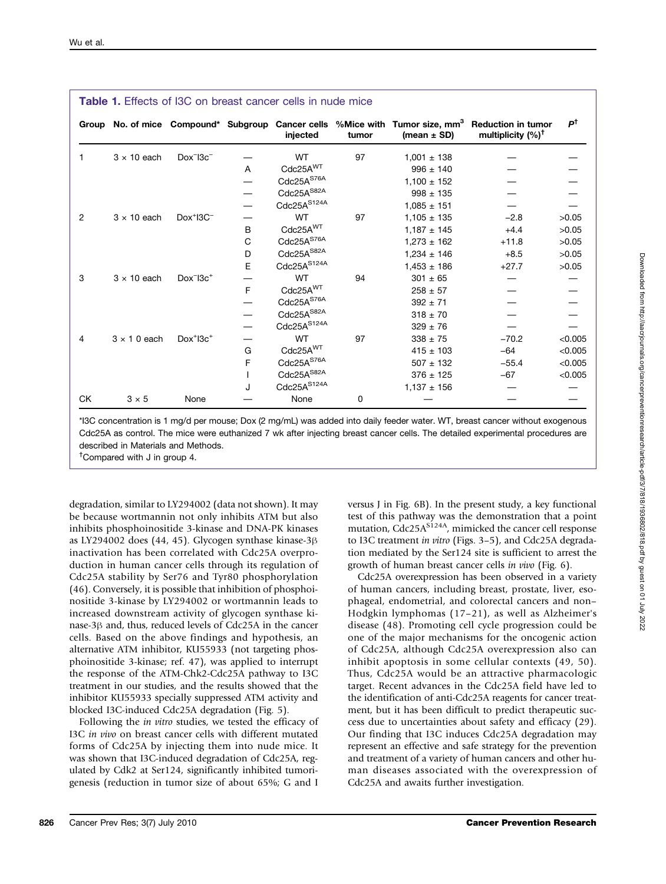| <b>Table 1.</b> Effects of I3C on breast cancer cells in nude mice |                    |              |   |                        |       |                 |                                                                                                                                             |               |
|--------------------------------------------------------------------|--------------------|--------------|---|------------------------|-------|-----------------|---------------------------------------------------------------------------------------------------------------------------------------------|---------------|
|                                                                    |                    |              |   | injected               | tumor | (mean $\pm$ SD) | Group No. of mice Compound* Subgroup Cancer cells %Mice with Tumor size, mm <sup>3</sup> Reduction in tumor<br>multiplicity $(%)^{\dagger}$ | $P^{\dagger}$ |
|                                                                    | $3 \times 10$ each | $Dox^ 13c^-$ |   | <b>WT</b>              | 97    | $1,001 \pm 138$ |                                                                                                                                             |               |
|                                                                    |                    |              | A | Cdc25A <sup>WT</sup>   |       | $996 \pm 140$   |                                                                                                                                             |               |
|                                                                    |                    |              |   | Cdc25A <sup>S76A</sup> |       | $1,100 \pm 152$ |                                                                                                                                             |               |
|                                                                    |                    |              |   | $Cdc25A^{S82A}$        |       | $998 \pm 135$   |                                                                                                                                             |               |
|                                                                    |                    |              |   | Cdc25AS124A            |       | $1.085 \pm 151$ |                                                                                                                                             |               |
| 2                                                                  | $3 \times 10$ each | $Dox^+13C^-$ |   | <b>WT</b>              | 97    | $1.105 \pm 135$ | $-2.8$                                                                                                                                      | >0.05         |
|                                                                    |                    |              | B | Cdc25A <sup>WT</sup>   |       | $1,187 + 145$   | $+4.4$                                                                                                                                      | >0.05         |
|                                                                    |                    |              | C | Cdc25A <sup>S76A</sup> |       | $1,273 \pm 162$ | $+11.8$                                                                                                                                     | >0.05         |
|                                                                    |                    |              | D | Cdc25A <sup>S82A</sup> |       | $1,234 \pm 146$ | $+8.5$                                                                                                                                      | >0.05         |
|                                                                    |                    |              | E | $Cdc25A^{S124A}$       |       | $1,453 \pm 186$ | $+27.7$                                                                                                                                     | >0.05         |
| 3                                                                  | $3 \times 10$ each | $Dox^-13c^+$ |   | <b>WT</b>              | 94    | $301 \pm 65$    |                                                                                                                                             |               |
|                                                                    |                    |              | F | Cdc25A <sup>WT</sup>   |       | $258 \pm 57$    |                                                                                                                                             |               |
|                                                                    |                    |              |   | Cdc25A <sup>S76A</sup> |       | $392 + 71$      |                                                                                                                                             |               |
|                                                                    |                    |              |   | $Cdc25A^{S82A}$        |       | $318 \pm 70$    |                                                                                                                                             |               |
|                                                                    |                    |              |   | $Cdc25A^{S124A}$       |       | $329 \pm 76$    |                                                                                                                                             |               |
| 4                                                                  | $3 \times 10$ each | $Dox^+13c^+$ |   | <b>WT</b>              | 97    | $338 \pm 75$    | $-70.2$                                                                                                                                     | < 0.005       |
|                                                                    |                    |              | G | Cdc25A <sup>WT</sup>   |       | $415 \pm 103$   | $-64$                                                                                                                                       | < 0.005       |
|                                                                    |                    |              | F | Cdc25A <sup>S76A</sup> |       | $507 \pm 132$   | $-55.4$                                                                                                                                     | < 0.005       |
|                                                                    |                    |              |   | Cdc25A <sup>S82A</sup> |       | $376 \pm 125$   | $-67$                                                                                                                                       | < 0.005       |
|                                                                    |                    |              | J | Cdc25AS124A            |       | $1,137 \pm 156$ |                                                                                                                                             |               |
| СK                                                                 | $3 \times 5$       | None         |   | None                   | 0     |                 |                                                                                                                                             |               |

\*I3C concentration is 1 mg/d per mouse; Dox (2 mg/mL) was added into daily feeder water. WT, breast cancer without exogenous Cdc25A as control. The mice were euthanized 7 wk after injecting breast cancer cells. The detailed experimental procedures are described in Materials and Methods.

† Compared with J in group 4.

degradation, similar to LY294002 (data not shown). It may be because wortmannin not only inhibits ATM but also inhibits phosphoinositide 3-kinase and DNA-PK kinases as LY294002 does (44, 45). Glycogen synthase kinase-3β inactivation has been correlated with Cdc25A overproduction in human cancer cells through its regulation of Cdc25A stability by Ser76 and Tyr80 phosphorylation (46). Conversely, it is possible that inhibition of phosphoinositide 3-kinase by LY294002 or wortmannin leads to increased downstream activity of glycogen synthase kinase-3β and, thus, reduced levels of Cdc25A in the cancer cells. Based on the above findings and hypothesis, an alternative ATM inhibitor, KU55933 (not targeting phosphoinositide 3-kinase; ref. 47), was applied to interrupt the response of the ATM-Chk2-Cdc25A pathway to I3C treatment in our studies, and the results showed that the inhibitor KU55933 specially suppressed ATM activity and blocked I3C-induced Cdc25A degradation (Fig. 5).

Following the in vitro studies, we tested the efficacy of I3C in vivo on breast cancer cells with different mutated forms of Cdc25A by injecting them into nude mice. It was shown that I3C-induced degradation of Cdc25A, regulated by Cdk2 at Ser124, significantly inhibited tumorigenesis (reduction in tumor size of about 65%; G and I versus J in Fig. 6B). In the present study, a key functional test of this pathway was the demonstration that a point mutation, Cdc25A<sup>S124A</sup>, mimicked the cancer cell response to I3C treatment in vitro (Figs. 3–5), and Cdc25A degradation mediated by the Ser124 site is sufficient to arrest the growth of human breast cancer cells in vivo (Fig. 6).

Cdc25A overexpression has been observed in a variety of human cancers, including breast, prostate, liver, esophageal, endometrial, and colorectal cancers and non– Hodgkin lymphomas (17–21), as well as Alzheimer's disease (48). Promoting cell cycle progression could be one of the major mechanisms for the oncogenic action of Cdc25A, although Cdc25A overexpression also can inhibit apoptosis in some cellular contexts (49, 50). Thus, Cdc25A would be an attractive pharmacologic target. Recent advances in the Cdc25A field have led to the identification of anti-Cdc25A reagents for cancer treatment, but it has been difficult to predict therapeutic success due to uncertainties about safety and efficacy (29). Our finding that I3C induces Cdc25A degradation may represent an effective and safe strategy for the prevention and treatment of a variety of human cancers and other human diseases associated with the overexpression of Cdc25A and awaits further investigation.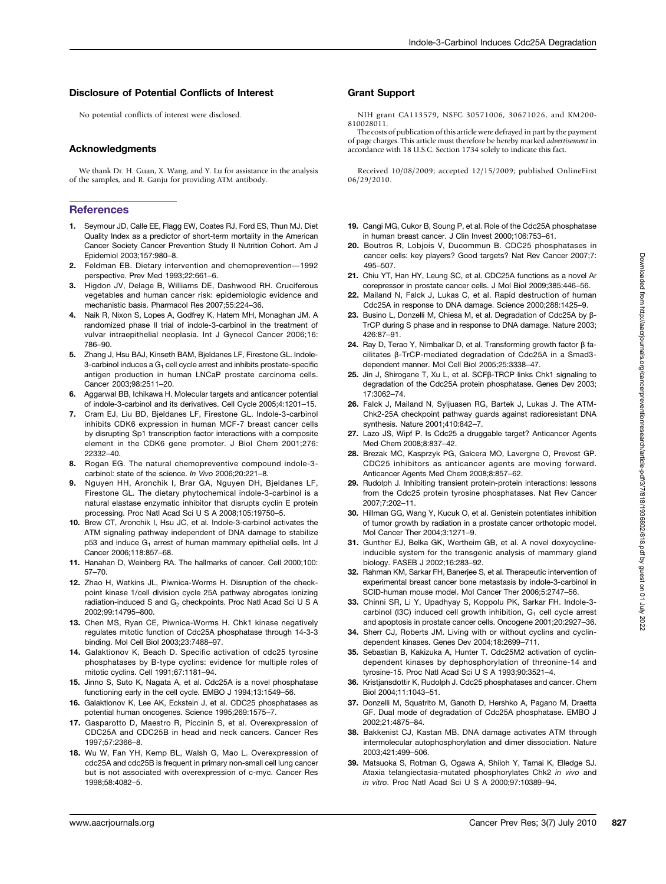#### Disclosure of Potential Conflicts of Interest

No potential conflicts of interest were disclosed.

#### Acknowledgments

We thank Dr. H. Guan, X. Wang, and Y. Lu for assistance in the analysis of the samples, and R. Ganju for providing ATM antibody.

#### **References**

- 1. Seymour JD, Calle EE, Flagg EW, Coates RJ, Ford ES, Thun MJ. Diet Quality Index as a predictor of short-term mortality in the American Cancer Society Cancer Prevention Study II Nutrition Cohort. Am J Epidemiol 2003;157:980–8.
- 2. Feldman EB. Dietary intervention and chemoprevention—1992 perspective. Prev Med 1993;22:661–6.
- 3. Higdon JV, Delage B, Williams DE, Dashwood RH. Cruciferous vegetables and human cancer risk: epidemiologic evidence and mechanistic basis. Pharmacol Res 2007;55:224–36.
- 4. Naik R, Nixon S, Lopes A, Godfrey K, Hatem MH, Monaghan JM. A randomized phase II trial of indole-3-carbinol in the treatment of vulvar intraepithelial neoplasia. Int J Gynecol Cancer 2006;16: 786–90.
- 5. Zhang J, Hsu BAJ, Kinseth BAM, Bjeldanes LF, Firestone GL. Indole-3-carbinol induces a  $G_1$  cell cycle arrest and inhibits prostate-specific antigen production in human LNCaP prostate carcinoma cells. Cancer 2003;98:2511–20.
- Aggarwal BB, Ichikawa H. Molecular targets and anticancer potential of indole-3-carbinol and its derivatives. Cell Cycle 2005;4:1201–15.
- 7. Cram EJ, Liu BD, Bjeldanes LF, Firestone GL. Indole-3-carbinol inhibits CDK6 expression in human MCF-7 breast cancer cells by disrupting Sp1 transcription factor interactions with a composite element in the CDK6 gene promoter. J Biol Chem 2001;276: 22332–40.
- 8. Rogan EG. The natural chemopreventive compound indole-3carbinol: state of the science. In Vivo 2006;20:221–8.
- 9. Nguyen HH, Aronchik I, Brar GA, Nguyen DH, Bjeldanes LF, Firestone GL. The dietary phytochemical indole-3-carbinol is a natural elastase enzymatic inhibitor that disrupts cyclin E protein processing. Proc Natl Acad Sci U S A 2008;105:19750–5.
- 10. Brew CT, Aronchik I, Hsu JC, et al. Indole-3-carbinol activates the ATM signaling pathway independent of DNA damage to stabilize p53 and induce G<sub>1</sub> arrest of human mammary epithelial cells. Int J Cancer 2006;118:857–68.
- 11. Hanahan D, Weinberg RA. The hallmarks of cancer. Cell 2000;100: 57–70.
- 12. Zhao H, Watkins JL, Piwnica-Worms H. Disruption of the checkpoint kinase 1/cell division cycle 25A pathway abrogates ionizing radiation-induced S and G<sub>2</sub> checkpoints. Proc Natl Acad Sci U S A 2002;99:14795–800.
- 13. Chen MS, Ryan CE, Piwnica-Worms H. Chk1 kinase negatively regulates mitotic function of Cdc25A phosphatase through 14-3-3 binding. Mol Cell Biol 2003;23:7488–97.
- 14. Galaktionov K, Beach D. Specific activation of cdc25 tyrosine phosphatases by B-type cyclins: evidence for multiple roles of mitotic cyclins. Cell 1991;67:1181–94.
- 15. Jinno S, Suto K, Nagata A, et al. Cdc25A is a novel phosphatase functioning early in the cell cycle. EMBO J 1994;13:1549–56.
- 16. Galaktionov K, Lee AK, Eckstein J, et al. CDC25 phosphatases as potential human oncogenes. Science 1995;269:1575–7.
- 17. Gasparotto D, Maestro R, Piccinin S, et al. Overexpression of CDC25A and CDC25B in head and neck cancers. Cancer Res 1997;57:2366–8.
- 18. Wu W, Fan YH, Kemp BL, Walsh G, Mao L. Overexpression of cdc25A and cdc25B is frequent in primary non-small cell lung cancer but is not associated with overexpression of c-myc. Cancer Res 1998;58:4082–5.

#### Grant Support

NIH grant CA113579, NSFC 30571006, 30671026, and KM200‐ 810028011.

The costs of publication of this article were defrayed in part by the payment of page charges. This article must therefore be hereby marked advertisement in accordance with 18 U.S.C. Section 1734 solely to indicate this fact.

Received 10/08/2009; accepted 12/15/2009; published OnlineFirst 06/29/2010.

- 19. Cangi MG, Cukor B, Soung P, et al. Role of the Cdc25A phosphatase in human breast cancer. J Clin Invest 2000;106:753–61.
- 20. Boutros R, Lobjois V, Ducommun B. CDC25 phosphatases in cancer cells: key players? Good targets? Nat Rev Cancer 2007;7: 495–507.
- 21. Chiu YT, Han HY, Leung SC, et al. CDC25A functions as a novel Ar corepressor in prostate cancer cells. J Mol Biol 2009;385:446–56.
- 22. Mailand N, Falck J, Lukas C, et al. Rapid destruction of human Cdc25A in response to DNA damage. Science 2000;288:1425–9.
- 23. Busino L, Donzelli M, Chiesa M, et al. Degradation of Cdc25A by β-TrCP during S phase and in response to DNA damage. Nature 2003; 426:87–91.
- 24. Ray D, Terao Y, Nimbalkar D, et al. Transforming growth factor β facilitates β-TrCP-mediated degradation of Cdc25A in a Smad3 dependent manner. Mol Cell Biol 2005;25:3338–47.
- 25. Jin J, Shirogane T, Xu L, et al. SCFβ-TRCP links Chk1 signaling to degradation of the Cdc25A protein phosphatase. Genes Dev 2003; 17:3062–74.
- 26. Falck J, Mailand N, Syljuasen RG, Bartek J, Lukas J. The ATM-Chk2-25A checkpoint pathway guards against radioresistant DNA synthesis. Nature 2001;410:842–7.
- 27. Lazo JS, Wipf P. Is Cdc25 a druggable target? Anticancer Agents Med Chem 2008;8:837–42.
- 28. Brezak MC, Kasprzyk PG, Galcera MO, Lavergne O, Prevost GP. CDC25 inhibitors as anticancer agents are moving forward. Anticancer Agents Med Chem 2008;8:857–62.
- 29. Rudolph J. Inhibiting transient protein-protein interactions: lessons from the Cdc25 protein tyrosine phosphatases. Nat Rev Cancer 2007;7:202–11.
- 30. Hillman GG, Wang Y, Kucuk O, et al. Genistein potentiates inhibition of tumor growth by radiation in a prostate cancer orthotopic model. Mol Cancer Ther 2004;3:1271–9.
- 31. Gunther EJ, Belka GK, Wertheim GB, et al. A novel doxycyclineinducible system for the transgenic analysis of mammary gland biology. FASEB J 2002;16:283–92.
- 32. Rahman KM, Sarkar FH, Baneriee S, et al. Therapeutic intervention of experimental breast cancer bone metastasis by indole-3-carbinol in SCID-human mouse model. Mol Cancer Ther 2006;5:2747–56.
- 33. Chinni SR, Li Y, Upadhyay S, Koppolu PK, Sarkar FH. Indole-3 carbinol (I3C) induced cell growth inhibition,  $G_1$  cell cycle arrest and apoptosis in prostate cancer cells. Oncogene 2001;20:2927–36.
- 34. Sherr CJ, Roberts JM. Living with or without cyclins and cyclindependent kinases. Genes Dev 2004;18:2699–711.
- 35. Sebastian B, Kakizuka A, Hunter T. Cdc25M2 activation of cyclindependent kinases by dephosphorylation of threonine-14 and tyrosine-15. Proc Natl Acad Sci U S A 1993;90:3521–4.
- 36. Kristjansdottir K, Rudolph J. Cdc25 phosphatases and cancer. Chem Biol 2004;11:1043–51.
- 37. Donzelli M, Squatrito M, Ganoth D, Hershko A, Pagano M, Draetta GF. Dual mode of degradation of Cdc25A phosphatase. EMBO J 2002;21:4875–84.
- 38. Bakkenist CJ, Kastan MB. DNA damage activates ATM through intermolecular autophosphorylation and dimer dissociation. Nature 2003;421:499–506.
- 39. Matsuoka S, Rotman G, Ogawa A, Shiloh Y, Tamai K, Elledge SJ. Ataxia telangiectasia-mutated phosphorylates Chk2 in vivo and in vitro. Proc Natl Acad Sci U S A 2000;97:10389–94.